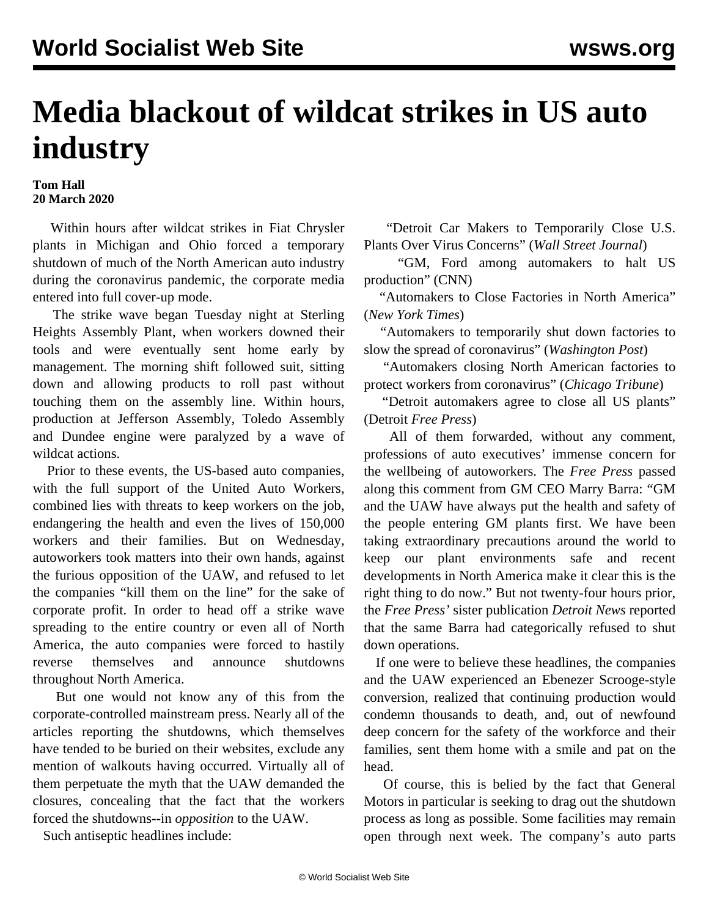## **Media blackout of wildcat strikes in US auto industry**

## **Tom Hall 20 March 2020**

 Within hours after wildcat strikes in Fiat Chrysler plants in Michigan and Ohio forced a temporary shutdown of much of the North American auto industry during the coronavirus pandemic, the corporate media entered into full cover-up mode.

 The strike wave began Tuesday night at Sterling Heights Assembly Plant, when workers downed their tools and were eventually sent home early by management. The morning shift followed suit, sitting down and allowing products to roll past without touching them on the assembly line. Within hours, production at Jefferson Assembly, Toledo Assembly and Dundee engine were paralyzed by a wave of wildcat actions.

 Prior to these events, the US-based auto companies, with the full support of the United Auto Workers, combined lies with threats to keep workers on the job, endangering the health and even the lives of 150,000 workers and their families. But on Wednesday, autoworkers took matters into their own hands, against the furious opposition of the UAW, and refused to let the companies "kill them on the line" for the sake of corporate profit. In order to head off a strike wave spreading to the entire country or even all of North America, the auto companies were forced to hastily reverse themselves and announce shutdowns throughout North America.

 But one would not know any of this from the corporate-controlled mainstream press. Nearly all of the articles reporting the shutdowns, which themselves have tended to be buried on their websites, exclude any mention of walkouts having occurred. Virtually all of them perpetuate the myth that the UAW demanded the closures, concealing that the fact that the workers forced the shutdowns--in *opposition* to the UAW.

Such antiseptic headlines include:

 "Detroit Car Makers to Temporarily Close U.S. Plants Over Virus Concerns" (*Wall Street Journal*)

 "GM, Ford among automakers to halt US production" (CNN)

 "Automakers to Close Factories in North America" (*New York Times*)

 "Automakers to temporarily shut down factories to slow the spread of coronavirus" (*Washington Post*)

 "Automakers closing North American factories to protect workers from coronavirus" (*Chicago Tribune*)

 "Detroit automakers agree to close all US plants" (Detroit *Free Press*)

 All of them forwarded, without any comment, professions of auto executives' immense concern for the wellbeing of autoworkers. The *Free Press* passed along this comment from GM CEO Marry Barra: "GM and the UAW have always put the health and safety of the people entering GM plants first. We have been taking extraordinary precautions around the world to keep our plant environments safe and recent developments in North America make it clear this is the right thing to do now." But not twenty-four hours prior, the *Free Press'* sister publication *Detroit News* reported that the same Barra had categorically refused to shut down operations.

 If one were to believe these headlines, the companies and the UAW experienced an Ebenezer Scrooge-style conversion, realized that continuing production would condemn thousands to death, and, out of newfound deep concern for the safety of the workforce and their families, sent them home with a smile and pat on the head.

 Of course, this is belied by the fact that General Motors in particular is seeking to drag out the shutdown process as long as possible. Some facilities may remain open through next week. The company's auto parts